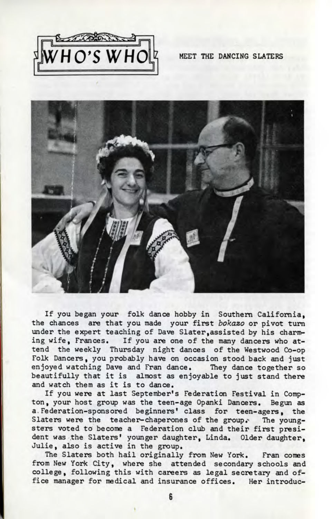

MEET THE DANCING SLATERS



If you began your folk dance hobby in Southern California, the chances are that you made your first *bokazo* or pivot turn under the expert teaching of Dave Slater,assisted by his charming wife, Frances. If you are one of the many dancers who attend the weekly Thursday night dances of the Westwood Co-op Folk Dancers, you probably have on occasion stood back and just enjoyed watching Dave and Fran dance. They dance together so beautifully that it is almost as enjoyable to just stand there and watch them as it is to dance.

If you were at last September's Federation Festival in Compton, your host group was the teen-age Opanki Dancers. Begun as a. Federation-sponsored beginners' class for teen-agers, the Slaters were the teacher-chaperones of the group. The youngsters voted to become a Federation club and their first president was the Slaters' younger daughter, Linda. Older daughter, Julie, also is active in the group.

The Slaters both hail originally from New York. Fran comes from New York City, where she attended secondary schools and college, following this with careers as legal secretary and office manager for medical and insurance offices. Her introduc-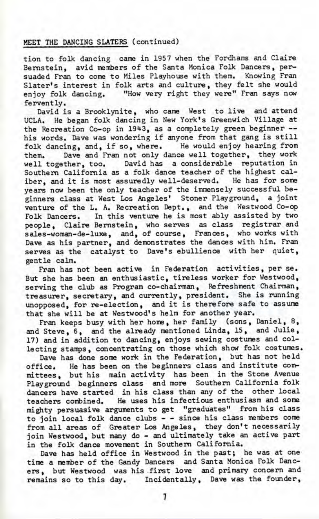## MEET THE DANCING SLATERS (continued)

tion to folk dancing came in 1957 when the Fordhams and Claire Bernstein, avid members of the Santa Monica Folk Dancers, persuaded Fran to come to Miles Playhouse with them. Knowing Fran Slater's interest in folk arts and culture, they felt she would enjoy folk dancing. "How very right they were" Fran says now fervently.

David is a Brooklynite, who came West to live and attend UCLA. He began folk dancing in New York's Greenwich Village at the Recreation Co-op in 1943, as a completely green beginner his words. Dave was wondering if anyone from that gang is still folk dancing, and, if so, where. He would enjoy hearing from them. Dave and Fran not only dance well together, they work well together, too. David has a considerable reputation in Southern California as a folk dance teacher of the highest caliber, and it is most assuredly we11-deserved. He has for some years now been the only teacher of the immensely successful beginners class at West Los Angeles' Stoner Playground, a joint venture of the L. A. Recreation Dept., and the Westwood Co-op Folk Dancers. In this venture he is most ably assisted by two people, Claire Bernstein, who serves as class registrar and sales-woman-de-luxe, and, of course, Frances, who works with Dave as his partner, and demonstrates the dances with him. Fran serves as the catalyst to Dave's ebullience with her quiet, gentle calm.

Fran has not been active in Federation activities, per se. But she has been an enthusiastic, tireless worker for Westwood, serving the club as Program co-chairman, Refreshment Chairman, treasurer, secretary, and currently, president. She is running unopposed, for re-election, and it is therefore safe to assume that she will be at Westwood's helm for another year.

Fran keeps busy with her home, her family (sons, Daniel, 8, and Steve, 6, and the already mentioned Linda, 15, and Julie, 17) and in addition to dancing, enjoys sewing costumes and collecting stamps, concentrating on those which show folk costumes.

Dave has done some work in the Federation, but has not held office. He has been on the beginners class and institute committees, but his main activity has been in the Stone Avenue Playground beginners class and more Southern California folk dancers have started in his class than any of the other local teachers combined. He uses his infectious enthusiasm and some mighty persuasive arguments to get "graduates" from his class to join local folk dance clubs - - since his class members come from all areas of Greater Los Angeles, they don't necessarily join Westwood, but many do - and ultimately take an active part in the folk dance movement in Southern California.

Dave has held office in Westwood in the past; he was at one time a member of the Gandy Dancers and Santa Monica Folk Dancers, but Westwood was his first love and primary concern and remains so to this day. Incidentally, Dave was the founder,